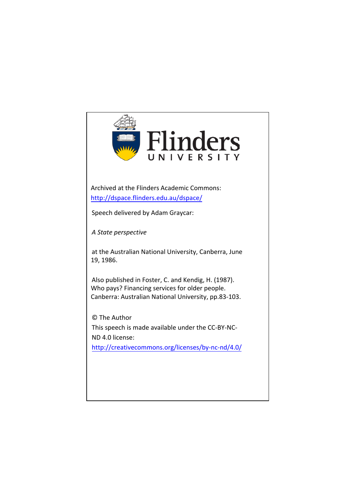

Archived at the Flinders Academic Commons: <http://dspace.flinders.edu.au/dspace/>

Speech delivered by Adam Graycar:

*A State perspective*

at the Australian National University, Canberra, June 19, 1986.

Also published in Foster, C. and Kendig, H. (1987). Who pays? Financing services for older people. [Canberra: Australian National University, pp.83-103.](http://creativecommons.org/licenses/by-nc-nd/4.0/)

© The Author This speech is made available under the CC-BY-NC-ND 4.0 license: <http://creativecommons.org/licenses/by-nc-nd/4.0/>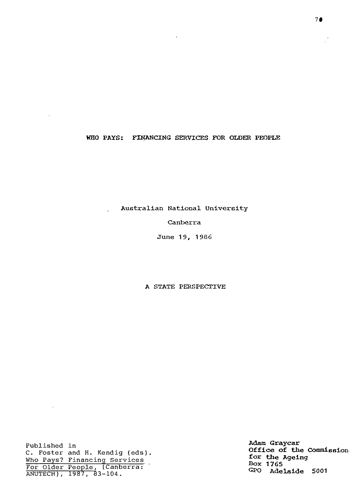## WHO PAYS: FINANCING SERVICES FOR OLDER PEOPLE

 $\hat{\mathbf{z}}$ 

**Australian National University** 

## **canberra**

June 19, 1986

**A STATE PERSPECTIVE** 

Published in C. Foster and H. Kendig (eds). Who Pays? Financing Services For Older People, (Canberra: ANUTECH), 1987, 83-104.

 $\sim 10^{11}$  km  $^{-1}$ 

 $\mathcal{L}$ 

**Adam Graycar Office of the Commission. for the Ageing Bo:x 1765 GPO Adelaide 5001**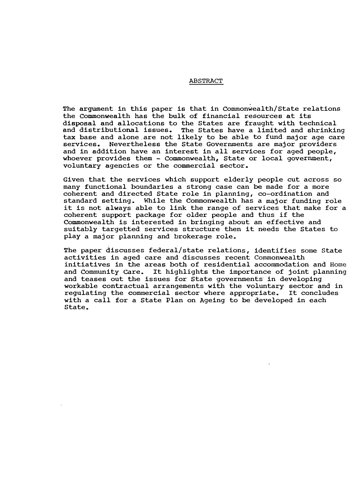#### ABSTRACT

The argument in this paper is that in Commonwealth/State relations the Commonwealth has the bulk of financial resources at its disposal and allocations to the states are fraught with technical and distributional issues. The states have a limited and shrinking tax base and alone are not likely to be able to fund major age care services. Nevertheless the State Governments are major providers and in addition have an interest in all services for aged people, whoever provides them - Commonwealth, State or local government, voluntary agencies or the commercial sector.

Given that the services which support elderly people cut across so many functional boundaries a strong case can be made for a more coherent and directed State role in planning, co-ordination and standard setting. While the Commonwealth has a major funding role it is not always able to link the range of services that make for a coherent support package for older people and thus if the Commonwealth is interested in bringing about an effective and suitably targetted services structure then it needs the States to play a major planning and brokerage role.

The paper discusses federal/state relations, identifies some State activities in aged care and discusses recent Commonwealth initiatives in the areas both of residential accommodation and Home and Community care. It highlights the importance of joint planning and teases out the issues for State governments in developing workable contractual arrangements with the voluntary sector and in regulating the commercial sector where appropriate. It concludes with a call for a State Plan on Ageing to be developed in each state.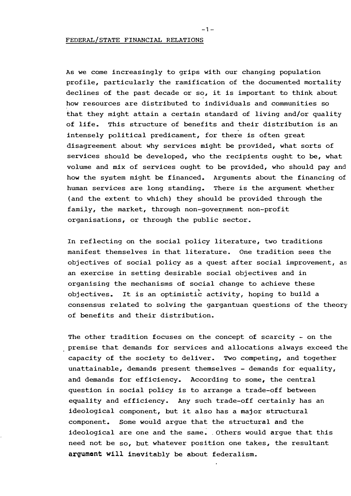As we come increasingly to grips with our changing population profile, particularly the ramification of the documented mortality declines of the past decade or so, it is important to think about how resources are distributed to individuals and communities so that they might attain a certain standard of living and/or quality of life. This structure of benefits and their distribution is an intensely political predicament, for there is often great disagreement about why services might be provided, what sorts of services should be developed, who the recipients ought to be, what volume and mix of services ought to be provided, who should pay and how the system might be financed. Arguments about the financing of human services are long standing. There is the argument whether (and the extent to **which)** they should be provided through the family, the market, through non-government non-profit organisations, or through the public sector.

In reflecting on the social policy literature, two traditions manifest themselves in that literature. One tradition sees the objectives of social policy as a quest after social improvement, as an exercise in setting desirable social objectives and in organising the mechanisms of social change to achieve these objectives. It is an optimistic activity, hoping to build a consensus related to solving the gargantuan questions of the theory of benefits and their distribution.

The other tradition focuses on the concept of scarcity - on the premise that demands for services and allocations always exceed the capacity of the society to deliver. Two competing, and together unattainable, demands present themselves - demands for equality, and demands for efficiency. According to some, the central question in social policy is to arrange a trade-off between equality and efficiency. Any such trade-off certainly has an ideological component, but it also has a major structural component. Some would argue that the structural and the ideological are one and the same. Others would argue that this need not be so, but whatever position one takes, the resultant �r�umcnt **will** inevitably be about federalism.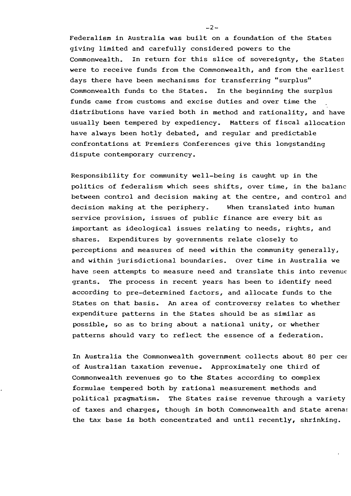Federalism in Australia was built on a foundation of the States giving limited and carefully considered powers to the Commonwealth. In return for this slice of sovereignty, the states were to receive funds from the Commonwealth, and from the earliest days there have been mechanisms for transferring "surplus" Commonwealth funds to the States. In the beginning the surplus funds came from customs and excise duties and over time the distributions have varied both in method and rationality, and have usually been tempered by expediency. Matters of fiscal allocation have **always** been hotly debated, and regular and predictable confrontations at Premiers Conferences give this longstanding dispute contemporary currency.

Responsibility for community well-being is caught up in the politics of federalism **which** sees shifts, over time, in the balanc between control and decision making at the centre, and control and decision making at the periphery. When translated into human service provision, issues of public finance are every bit as important as ideological issues relating to needs, rights, and shares. Expenditures by governments relate closely to perceptions and measures of need within the community generally, and within jurisdictional boundaries. Over time in Australia we have seen attempts to measure need and translate this into revenue grants. The process in recent years has been to identify need according to pre-determined factors, and allocate funds to the States on that basis. An area of controversy relates to whether expenditure patterns in the States should be as similar as possible, so as to bring about a national unity, or whether patterns should vary to reflect the essence of a federation.

In Australia the Commonwealth government collects about 80 per cer of Australian taxation revenue. Approximately one third of Commonwealth revenues go to the States according to complex formulae tempered both by rational measurement methods and \_ political pragmatism. The States raise revenue through a variety of taxes and charges, though in both Commonwealth and State arenas the tax base is both concentrated and until recently, shrinking.

 $-2-$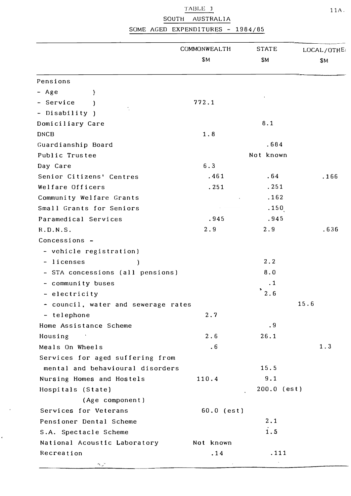TABLE J SOUTH AUSTRALIA

SOME AGED EXPENDITURES - 1984/85

|                                     | COMMONWEALTH<br><b>SM</b> | <b>STATE</b><br><b>SM</b> | LOCAL/OTHE<br>\$Μ |
|-------------------------------------|---------------------------|---------------------------|-------------------|
|                                     |                           |                           |                   |
| Pensions                            |                           |                           |                   |
| - Age<br>J                          |                           |                           |                   |
| - Service                           | 772.1                     |                           |                   |
| - Disability )                      |                           |                           |                   |
| Domiciliary Care                    |                           | 8.1                       |                   |
| <b>DNCB</b>                         | 1.8                       |                           |                   |
| Guardianship Board                  |                           | .684                      |                   |
| Public Trustee                      |                           | Not known                 |                   |
| Day Care                            | 6.3                       |                           |                   |
| Senior Citizens' Centres            | .461                      | .64                       | .166              |
| Welfare Officers                    | .251                      | .251                      |                   |
| Community Welfare Grants            |                           | .162                      |                   |
| Small Grants for Seniors            |                           | .150                      |                   |
| Paramedical Services                | .945                      | .945                      |                   |
| R.D.N.S.                            | 2.9                       | 2.9                       | .636              |
| Concessions -                       |                           |                           |                   |
| - vehicle registration)             |                           |                           |                   |
| - licenses<br>J.                    |                           | 2.2                       |                   |
| - STA concessions (all pensions)    |                           | 8.0                       |                   |
| - community buses                   |                           | $\cdot$ 1                 |                   |
| - electricity                       |                           | 2.6                       |                   |
| - council, water and sewerage rates |                           | 15.6                      |                   |
| - telephone                         | 2.7                       |                           |                   |
| Home Assistance Scheme              |                           | $\cdot$ 9                 |                   |
| Housing                             | 2.6                       | 26.1                      |                   |
| Meals On Wheels                     | .6                        |                           | 1.3               |
| Services for aged suffering from    |                           |                           |                   |
| mental and behavioural disorders    |                           | 15.5                      |                   |
| Nursing Homes and Hostels           | 110.4                     | 9.1                       |                   |
| Hospitals (State)                   |                           | $200.0$ (est)             |                   |
| (Age component)                     |                           |                           |                   |
| Services for Veterans               | $60.0$ (est)              |                           |                   |
| Pensioner Dental Scheme             |                           | 2.1                       |                   |
| S.A. Spectacle Scheme               |                           | 1.5                       |                   |
| National Acoustic Laboratory        | Not known                 |                           |                   |
| Recreation                          | .14                       | .111                      |                   |
| سمي چي                              |                           |                           |                   |

 $\sim$ 

 $\hat{\mathbf{v}}$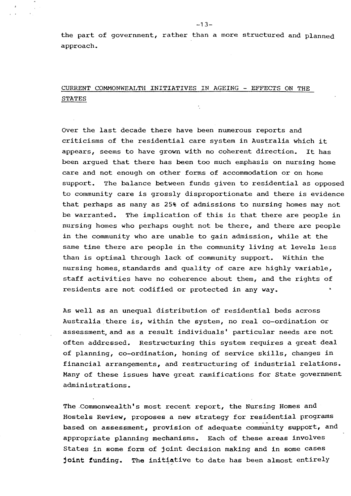the part of government, rather than a more structured and planned approach.

# CURRENT COMMONWEALTH INITIATIVES IN AGEING - EFFECTS ON THE STATES

Over the last decade there have been numerous reports and criticisms of the residential care system in Australia which it appears, seems to have grown with no coherent direction. It has been argued that there has been too much emphasis on nursing home care and not enough on other forms of accommodation or on home support. The balance between funds given to residential as opposed to community care is grossly disproportionate and there is evidence that perhaps as many as 25% of admissions to nursing homes may not be warranted. The implication of this is that there are people in nursing homes who perhaps ought not be there, and there are people in the community who are unable to gain admission, while at the same time there are people in the community living at levels less than is optimal through lack of community support. Within the nursing homes, standards and quality of care are highly variable, staff activities have no coherence about them, and the rights of residents are not codified or protected in any way.

As well as an unequal distribution of residential beds across Australia there is, within the system, no real co-ordination or assessment, and as a result individuals' particular needs are not often addressed. Restructuring this system requires a great deal of planning, co-ordination, honing of service skills, changes in financial arrangements, and restructuring of industrial relations. Many of these issues **have** great ramifications for State government administrations.

The .Commonwealth's most recent report, the Nursing Homes and Hostels Review, proposes a new strategy for residential programs based on assessment, provision of adequate community support, and appropriate planning mechanisms. Each of these areas involves States in some form of joint decision making and in some cases **joint funding.** The initiative to date has been almost entirely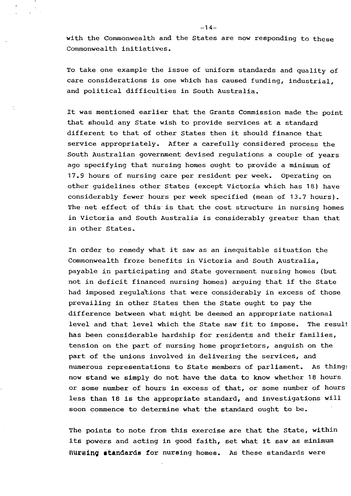**with** the Commonwealth and the States are now responding to these Commonwealth initiatives.

To take one example the issue of uniform standards and quality of care considerations is one which has caused funding, industrial, and political difficulties in South Australia.

It was mentioned earlier that the Grants Commission made the point that should any State **wish** to provide services at a standard different to that of other States then it should finance that service appropriately. After a carefully considered process the South Australian government devised regulations a couple of years ago specifying that nursing homes ought to provide a minimum of 17.9 hours of nursing care per resident per week. Operating on other guidelines other States (except Victoria which has 18) have considerably fewer hours per week specified (mean of 13.7 hours). The net effect of this is that the cost structure in nursing homes in Victoria and South Australia is considerably greater than that in other States.

In order to remedy what it saw as an inequitable situation the Commonwealth froze benefits in Victoria and South Australia, payable in participating and State government nursing homes (but not in deficit financed nursing homes) arguing that if the State had imposed regulations that were considerably in excess of those prevailing in other States then the state ought to pay the difference between what might be deemed an appropriate national level and that level which the State saw fit to impose. The result has been considerable hardship for residents and their families, tension on the part of nursing home proprietors, anguish on the part of the unions involved in delivering the services, and numerous representations to State members of parliament. As things now stand we simply do not have the data to know whether 18 hours or some number of hours in excess of that, or some number of hours less than 18 is the appropriate standard, and investigations will soon commence to determine what the standard ought to be.

The points to note from this exercise are that the State, within its powers and acting in good faith, set what it saw as minimum fluraing standards for nursing homes. As these standards were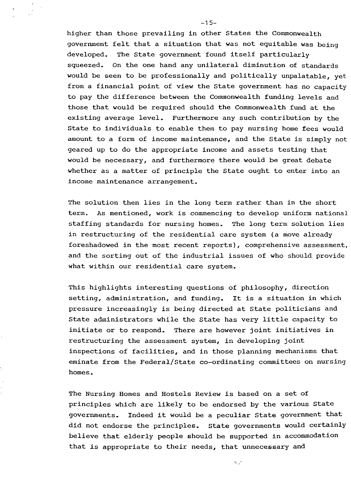higher than those prevailing **in** other States the Commonwealth government felt that a situation that was not equitable was being developed. The State government found itself particularly squeezed. On the one hand any unilateral diminution of standards would be seen to be professionally and politically unpalatable, yet from a financial point of **view** the State government has no capacity to pay the difference between the Commonwealth funding levels and those that would be required should the Commonwealth fund at the existing average level. Furthermore any such contribution by the State to individuals to enable them to pay nursing home fees would amount to a form of income maintenance, and the State is simply not geared up to do the appropriate income and assets testing that would be necessary, and furthermore there would be great debate whether as a matter of principle the State ought to enter into an income maintenance arrangement.

The solution then lies in the long term rather than in the short term. As mentioned, work is commencing to develop uniform national staffing standards for nursing homes. The long term solution lies in restructuring of the residential care system (a move already foreshadowed in the most recent reports), comprehensive assessment, and the sorting out of the industrial issues of who should provide what within our residential care system.

This highlights interesting questions of philosophy, direction setting, administration, and funding. It is a situation in which pressure increasingly is being directed at State politicians and State administrators while the State has very little capacity to initiate or to respond. There are however joint initiatives in restructuring the assessment system, in developing joint inspections of facilities, and in those planning mechanisms that eminate from the Federal/State co-ordinating committees on nursing homes.

The Nursing Homes and Hostels Review is based on a set of principles which are likely to be endorsed by the various State governments. Indeed it would be a peculiar State government that did not endorse the principles. State governments would certainly believe that elderly people should be supported in accommodation that is appropriate to their needs, that unnecessary and

 $\sim$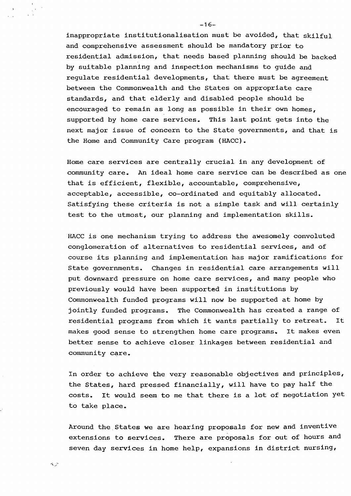inappropriate institutionalisation must be avoided, that skilful and comprehensive assessment should be mandatory prior to residential admission, that needs based planning should be backed by suitable planning and inspection mechanisms to guide and regulate residential developments, that there must be agreement between the Commonwealth and the States on appropriate care standards, and that elderly and disabled people should be encouraged to remain as long as possible in their own homes, supported by home care services. This last point gets into the next major issue of concern to the State governments, and that is the Home and Community Care program (HACC).

Home care services are centrally crucial in any development of community care. An ideal home care service can be described as one that is efficient, flexible, accountable, comprehensive, acceptable, accessible, co-ordinated and equitably allocated. Satisfying these criteria is not a simple task and **will** certainly test to the utmost, our planning and implementation skills.

HACC is one mechanism trying to address the awesomely convoluted conglomeration of alternatives to residential services, and of course its planning and implementation has major ramifications for State governments. Changes in residential care arrangements **will**  put downward pressure on home care services, and many people who previously would have been supported in institutions by Commonwealth funded programs will now be supported at home by jointly funded programs. The Commonwealth has created a range of residential programs from which it wants partially to retreat. It makes good sense to strengthen home care programs. It makes even better sense to achieve closer linkages between residential and community care.

In order to achieve the very reasonable objectives and principles, the States, hard pressed financially, will have to pay half the  $costs.$  It would seem to me that there is a lot of negotiation yet to take place.

Around the States we are hearing proposals for new and inventive extensions to services. There are proposals for out of hours and seven day services in home help, expansions in district nursing,

 $-16-$ 

 $\mathcal{L}_{\mathcal{L}}$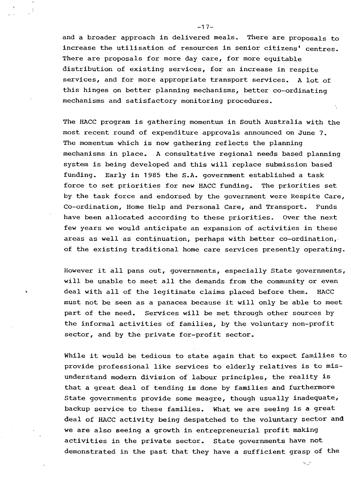and a broader approach in delivered meals. There are proposals to increase the utilisation of resources in senior citizens' centres. There are proposals for more day care, for more equitable distribution of existing services, for an increase in respite services, and for more appropriate transport services. A lot of this hinges on better planning mechanisms, better co-ordinating mechanisms and satisfactory monitoring procedures.

The HACC program is gathering momentum in South Australia with the most recent round of expenditure approvals announced on June 7. The momentum which is now gathering reflects the planning mechanisms in place. A consultative regional needs based planning system is being developed and this will replace submission based funding. Early in 1985 the S.A. government established a task force to set priorities for new HACC funding. The priorities set by the task force and endorsed by the government were Respite Care, Co-ordination, Home Help and Personal Care, and Transport. Funds have been allocated according to these priorities. Over the next few years we would anticipate an expansion of activities in these areas as well as continuation, perhaps with better co-ordination,. of the existing traditional home care services presently operating.

However it all pans out, governments, especially State governments, will be unable to meet all the demands from the community or even deal with all of the legitimate claims placed before them. HACC must not be seen as a panacea because it will only be able to meet part of the need. Services will be met through other sources by the informal activities of families, by the voluntary non-profit sector, and by the private for-profit sector.

While it would be tedious to state again that to expect families to provide professional like services to elderly relatives is to misunderstand modern division of labour principles, the reality is that a great deal of tending is done by families and furthermore State governments provide some meagre, though usually inadequate, backup service to these families. What we are seeing is a great deal of HACC activity being despatched to the voluntary sector and. we are also seeing a growth in entrepreneurial profit making activities in the private sector. State governments have not demonstrated in the past that they have a sufficient grasp of the

در به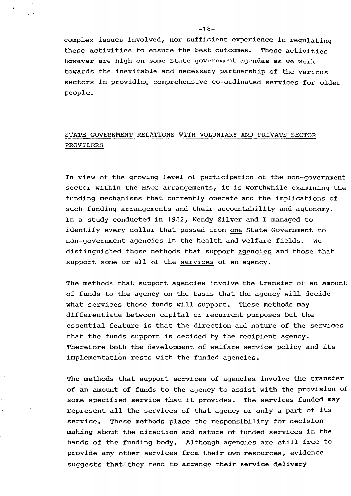complex issues involved, nor sufficient experience in regulating these activities to ensure the best outcomes. These activities however are high on some State government agendas as we work towards the inevitable and necessary partnership of the various sectors in providing comprehensive co-ordinated services for older people.

# STATE GOVERNMENT RELATIONS WITH VOLUNTARY AND PRIVATE SECTOR PROVIDERS

In **view** of the growing level of participation of the non-government sector within the HACC arrangements, it is worthwhile examining the funding mechanisms that currently operate and the implications of such funding arrangements and their accountability and autonomy. In a study conducted in 1982, Wendy Silver and I managed to identify every dollar that passed from one State Government to non-government agencies in the health and welfare fields. We distinguished those methods that support agencies and those that support some or all of the services of an agency.

The methods that support agencies involve the transfer of an amount of funds to the agency on the basis that the agency will decide what services those funds will support. These methods may differentiate between capital or recurrent purposes but the essential feature is that the direction and nature of the services that the funds support is decided by the recipient agency. Therefore both the development of welfare service policy and its implementation rests **with** the funded agencies.

The methods that support services of agencies involve the transfer of an amount of funds to the agency to assist with the provision of some specified service that it provides. The services funded may represent all the services of that agency or only a part of its service. These methods place the responsibility for decision making about the direction and nature of funded services in the hands of the funding body. Although agencies are still free to provide any other services from their own resources, evidence suggests that<sup>-\*</sup> they tend to arrange their service delivery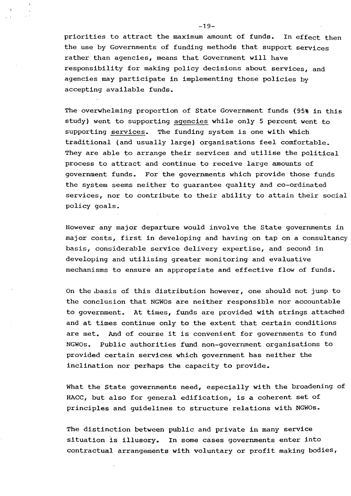priorities to attract the maximum amount of funds. In effect then the use by Governments of funding methods that support services rather than agencies, means that Government **will** have responsibility for making policy decisions about services, and agencies may participate in implementing those policies by accepting available funds.

The overwhelming proportion of State Government funds (95% in this study) went to supporting agencies while only 5 percent went to supporting services. The funding system is one with which traditional (and usually large) organisations feel comfortable. They are able to arrange their services and utilise the political process to attract and continue to receive large amounts of government funds. For the governments which provide those funds the system seems neither to guarantee quality and co-ordinated services, nor to contribute to their ability to attain their social policy goals.

However any major departure would involve the state governments in major costs, first in developing and having.on tap on a consultancy basis, considerable service delivery expertise, and second in developing and utilising greater monitoring and evaluative mechanisms to ensure an appropriate and effective flow of funds.

On the;basis of this distribution however, one should not jump to the conclusion that NGWOs are neither responsible nor accountable to government. At times, funds are provided **with** strings attached and at times continue only to the extent that certain conditions are met. And of course it is convenient for governments to fund NGWOs. Public authorities fund non-government organisations to provided certain services which government has neither the inclination nor perhaps the capacity to provide.

What the State governments need, especially **with** the broadening of HACC, but also for general edification, is a coherent set of principles and guidelines to structure relations **with** NGWOs.

The distinction between public and private in many service situation is illusory. In some cases governments enter into contractual arrangements with voluntary or profit making bodies,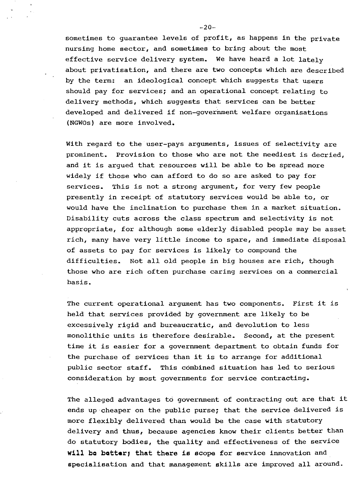sometimes to guarantee levels of profit, as happens in the private nursing home sector, and sometimes to bring about the most effective service delivery system. We have heard a lot lately about privatisation, and there are two concepts which are described by the term: an ideological concept which suggests that users should pay for services; and an operational concept relating to delivery methods, which suggests that services can be better developed and delivered if non-government welfare organisations (NGWOs) are more involved.

With regard to the user-pays arguments, issues of selectivity are prominent. Provision to those who are not the neediest is decried, and it is argued that resources will be able to be spread more widely if those who can afford to do so are asked to pay for services. This is not a strong argument, for very few people presently in receipt of statutory services would be able to, or would have the inclination to purchase them in a market situation. Disability cuts across the class spectrum and selectivity is not appropriate, for although some elderly disabled people may be asset rich, many have very little income to spare, and immediate disposal of assets to pay for services is likely to compound the difficulties. Not all old people in big houses are rich, though those who are rich often purchase caring services on a commercial basis.

The current operational argument has two components. First it is held that services provided by government are likely to be excessively rigid and bureaucratic, and devolution to less monolithic units is therefore desirable. Second, at the present time it is easier for a government department to obtain funds for the purchase of services than it is to arrange for additional public sector staff. This combined situation has led to serious consideration by most governments for service contracting.

The alleged advantages to government of contracting out are that it ends up cheaper on the public purse; that the service delivered is more flexibly delivered than would be the case with statutory delivery and thus, because agencies know their clients better than do statutory bodies, the quality and effectiveness of the service **will be batter; that there is scope for service innovation and** specialisation and that management skills are improved all around.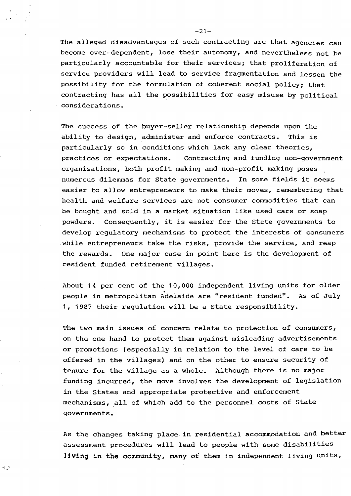The alleged disadvantages of such contracting are that agencies can become over-dependent, lose their autonomy, and nevertheless not be particularly accountable for their services; that proliferation of service providers will lead to service fragmentation and lessen the possibility for the formulation of coherent social policy; that contracting has all the possibilities for easy misuse by political considerations.

The success of the buyer-seller relationship depends upon the ability to design, administer and enforce contracts. This is particularly so in conditions which lack any clear theories, practices or expectations. Contracting and funding non-government organisations, both profit making and non-profit making poses . numerous dilemmas for State governments. In some fields it seems easier to allow entrepreneurs to make their moves, remembering that health and welfare services are not consumer commodities that can be bought and sold in a market situation like used cars or soap powders. Consequently, it is easier for the state governments to develop regulatory mechanisms to protect the interests of consumers while entrepreneurs take the risks, provide the service, and reap the rewards. One major case in point here is the development of resident funded retirement villages.

About 14 per cent of the 10,000 independent living units for older > people in metropolitan Adelaide are "resident funded". As of July 1, 1987 their regulation will be a State responsibility.

The two main issues of concern relate to protection of consumers, on the one hand to protect them against misleading advertisements or promotions (especially in relation to the level of care to be offered in the villages) and on the other to ensure security of tenure for the village as a whole. Although there is no major funding incurred, the move involves the development of legislation in the states and appropriate protective and enforcement mechanisms, all of which add to the personnel costs of State governments.

As the changes taking place.in residential accommodation and better assessment procedures will lead to people with some disabilities **livinq in the** community, many of them in independent living units,

 $\mathcal{A}_{\mathbf{r},\mathbf{r}}^{\mathbf{r},\mathbf{r}}$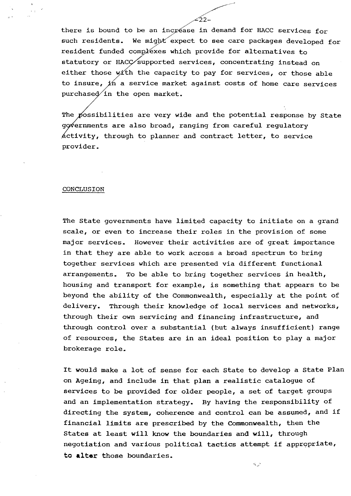there is bound to be an increase in demand for HACC services for such residents. We might expect to see care packages developed for resident funded complexes which provide for alternatives to statutory or HACC supported services, concentrating instead on either those with the capacity to pay for services, or those able to insure,  $x$ h a service market against costs of home care services purchased in the open market.

-22-

The possibilities are very wide and the potential response by State provider. governments are also broad, ranging from careful regulatory  $\phi$  activity, through to planner and contract letter, to service

#### CONCLUSION

The State governments have limited capacity to initiate on a grand scale, or even to increase their roles in the provision of some major services. However their activities are of great importance in that they are able to work across a broad spectrum to bring together services which are presented via different functional arrangements. To be able to bring together services in health, housing and transport for example, is something that appears to be beyond the ability of the Commonwealth, especially at the point of delivery. Through their knowledge of local services and networks, through their own servicing and financing infrastructure, and through control over a substantial (but always insufficient) range of resources, the States are in an ideal position to play a major brokerage role.

It would make a lot of sense for each state to develop a State Plan on Ageing, and include in that plan a realistic catalogue of services to be provided for older people, a set of target groups and an implementation strategy. By having the responsibility of directing the system, coherence and control can be assumed, and if financial limits are prescribed by the Commonwealth, then the States at least will know the boundaries and will, through negotiation and various political tactics attempt if appropriate, **to •lter** those boundaries.

س پير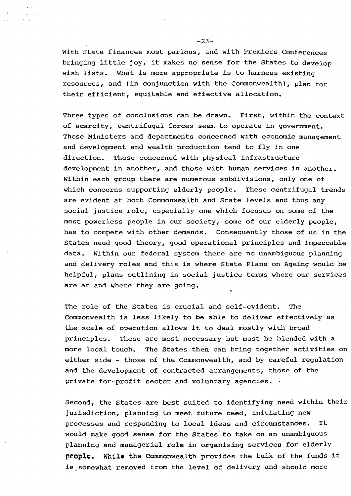With State finances most parlous, and with Premiers Conferences bringing little joy, it makes no sense for the States to develop wish lists. What is more appropriate is to harness existing resources, and (in conjunction with the Commonwealth), plan for their efficient, equitable and effective allocation.

Three types of conclusions can be drawn. First, within the context of scarcity, centrifugal forces seem to operate in government. Those Ministers and departments concerned with economic management and development and wealth production tend to fly in one direction. Those concerned with physical infrastructure development in another, and those with human services in another. Within each group there are numerous subdivisions, only one of which concerns supporting elderly people. These centrifugal trends are evident at both Commonwealth and State levels and thus any social justice role, especially one which focuses on some of the most powerless people in our society, some of our elderly people, has to compete with other demands. Consequently those of us in the States need good theory, good operational principles and impeccable data. Within our federal system there are no unambiguous planning and delivery roles and this is where State Plans on Ageing would be helpful, plans outlining in social justice terms where our services are at and where they are going.

The role of the States is crucial and self-evident. The Commonwealth is less likely to be able to deliver effectively as the scale of operation allows it to deal mostly with broad principles. These are most necessary but must be blended with a more local touch. The States then can bring together activities on either side - those of the Commonwealth, and by careful regulation and the development of contracted arrangements, those of the private for-profit sector and voluntary agencies.

Second, the states are best suited to identifying need within their jurisdiction, planning to meet future. need, initiating new processes and responding to local ideas and circumstances. It would make good sense for the states to take on an unambiguous planning and managerial role in organising services for elderly people. While the Commonwealth provides the bulk of the funds it is somewhat removed from the level of delivery and should more

 $-23-$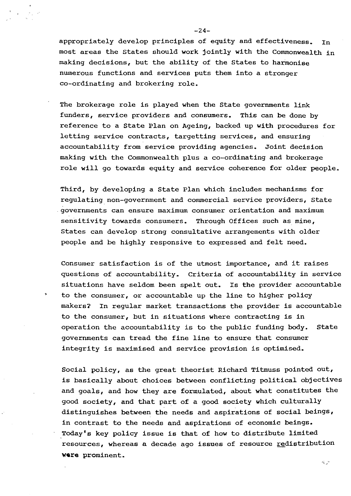appropriately develop principles of equity and effectiveness. In most areas the States should work jointly with the Commonwealth in making decisions, but the ability of the states to harmonise numerous functions and services puts them into a stronger co-ordinating and brokering role.

The brokerage role is played when the State governments link funders, service providers and consumers. This can be done by reference to a State Plan on Ageing, backed up **with** procedures for letting service contracts, targetting services, and ensuring accountability from service providing agencies. Joint decision making with the Commonwealth plus a co-ordinating and brokerage role will go towards equity and service coherence for older people.

Third, by developing a State Plan which includes mechanisms for regulating non-government and commercial service providers, State .governments can ensure maximum consumer orientation and maximum sensitivity towards consumers. Through Offices such as mine, States can develop strong consultative arrangements with older people and be highly responsive to expressed and felt need.

Consumer satisfaction is of the utmost importance, and it raises questions of accountability. Criteria of accountability in service situations have seldom been spelt out. Is the provider accountable to the consumer, or accountable up the line to higher policy makers? In regular market transactions the provider is accountable to the consumer, but in situations where contracting is in operation the accountability is to the public funding body. State governments can tread the fine line to ensure that consumer integrity is maximised and service provision is optimised.

Social policy, as the great theorist Richard Titmuss pointed out, is basically about choices between conflicting political objectives and goals, and how they are formulated, about what constitutes the good society, and that part of a good society which culturally distinguishes between the needs and aspirations of social beings, in contrast to the needs and aspirations of economic beings. Today's key policy issue is that of how to distribute limited resources, whereas a decade ago issues of resource redistribution **were** prominent.

 $\sim$   $^{-2}$